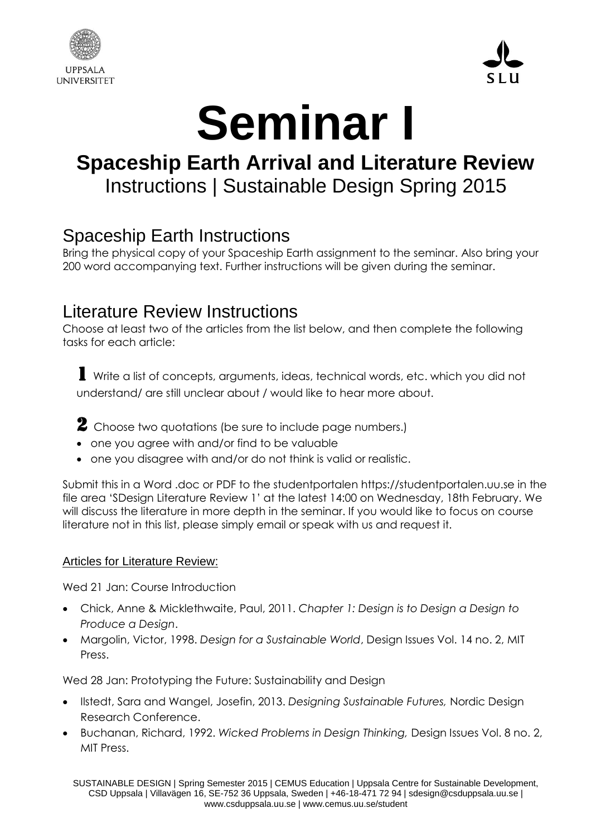



# **Seminar I**

## **Spaceship Earth Arrival and Literature Review** Instructions | Sustainable Design Spring 2015

### Spaceship Earth Instructions

Bring the physical copy of your Spaceship Earth assignment to the seminar. Also bring your 200 word accompanying text. Further instructions will be given during the seminar.

#### Literature Review Instructions

Choose at least two of the articles from the list below, and then complete the following tasks for each article:

1 Write a list of concepts, arguments, ideas, technical words, etc. which you did not understand/ are still unclear about / would like to hear more about.

2 Choose two quotations (be sure to include page numbers.)

- one you agree with and/or find to be valuable
- one you disagree with and/or do not think is valid or realistic.

Submit this in a Word .doc or PDF to the studentportalen https://studentportalen.uu.se in the file area 'SDesign Literature Review 1' at the latest 14:00 on Wednesday, 18th February. We will discuss the literature in more depth in the seminar. If you would like to focus on course literature not in this list, please simply email or speak with us and request it.

#### Articles for Literature Review:

Wed 21 Jan: Course Introduction

- Chick, Anne & Micklethwaite, Paul, 2011. *Chapter 1: Design is to Design a Design to Produce a Design*.
- Margolin, Victor, 1998. *Design for a Sustainable World*, Design Issues Vol. 14 no. 2, MIT Press.

Wed 28 Jan: Prototyping the Future: Sustainability and Design

- Ilstedt, Sara and Wangel, Josefin, 2013. *Designing Sustainable Futures,* Nordic Design Research Conference.
- Buchanan, Richard, 1992. *Wicked Problems in Design Thinking,* Design Issues Vol. 8 no. 2, MIT Press.